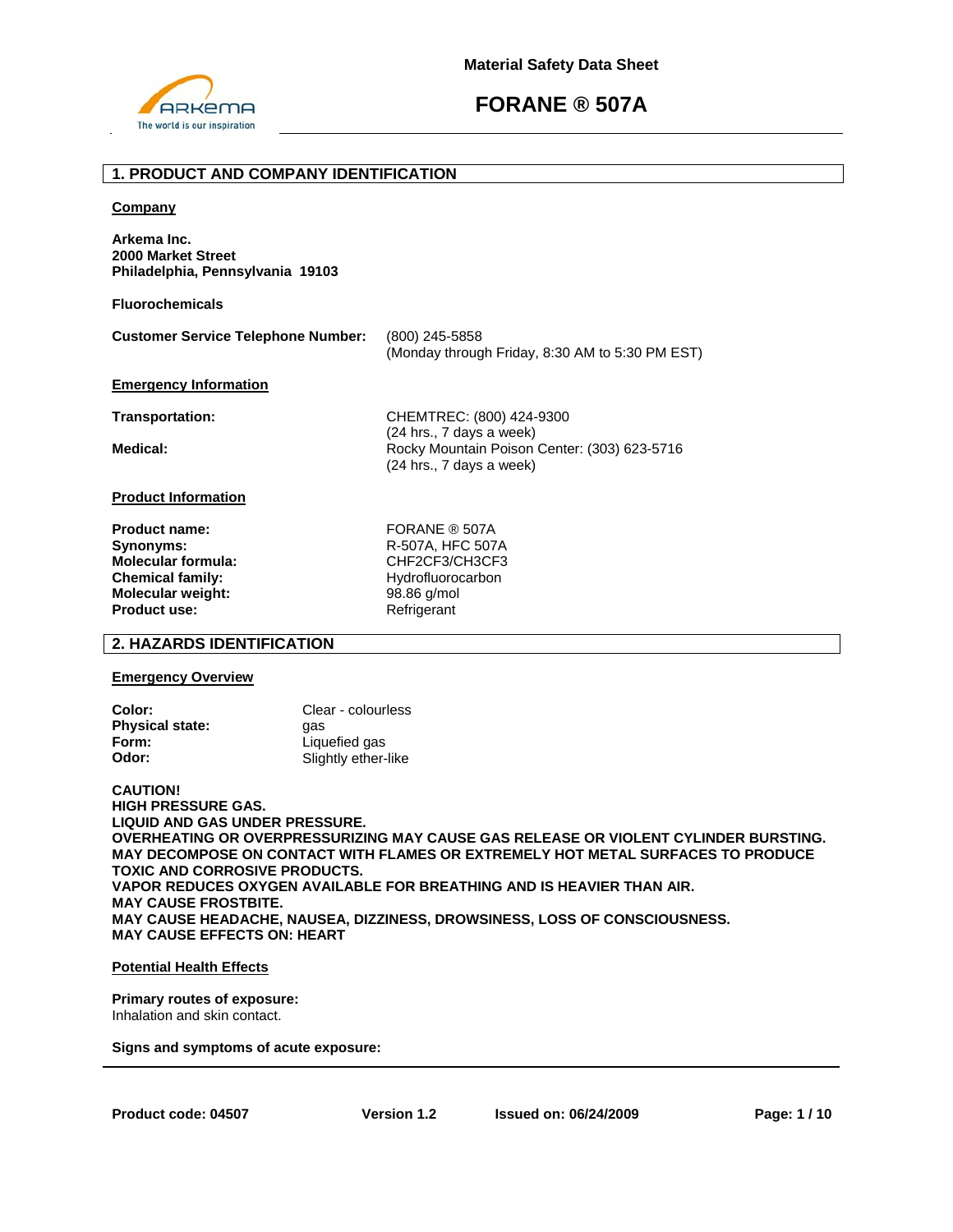

# **1. PRODUCT AND COMPANY IDENTIFICATION**

#### **Company**

**Arkema Inc. 2000 Market Street Philadelphia, Pennsylvania 19103** 

**Fluorochemicals**

| <b>Customer Service Telephone Number:</b> | (800) 245-5858                                  |
|-------------------------------------------|-------------------------------------------------|
|                                           | (Monday through Friday, 8:30 AM to 5:30 PM EST) |

## **Emergency Information**

**Transportation:** CHEMTREC: (800) 424-9300 (24 hrs., 7 days a week) Medical: **Medical: Rocky Mountain Poison Center: (303) 623-5716** (24 hrs., 7 days a week)

## **Product Information**

**Product name:** FORANE ® 507A **Synonyms:** R-507A, HFC 507A **Molecular formula:** CHF2CF3/CH3CF3 **Chemical family:** Hydrofluorocarbon **Molecular weight:** 98.86 g/mol **Product use:** Refrigerant

# **2. HAZARDS IDENTIFICATION**

### **Emergency Overview**

| Color:                 | Clear - colourless  |
|------------------------|---------------------|
| <b>Physical state:</b> | aas                 |
| Form:                  | Liquefied gas       |
| Odor:                  | Slightly ether-like |

**CAUTION! HIGH PRESSURE GAS. LIQUID AND GAS UNDER PRESSURE. OVERHEATING OR OVERPRESSURIZING MAY CAUSE GAS RELEASE OR VIOLENT CYLINDER BURSTING. MAY DECOMPOSE ON CONTACT WITH FLAMES OR EXTREMELY HOT METAL SURFACES TO PRODUCE TOXIC AND CORROSIVE PRODUCTS. VAPOR REDUCES OXYGEN AVAILABLE FOR BREATHING AND IS HEAVIER THAN AIR. MAY CAUSE FROSTBITE. MAY CAUSE HEADACHE, NAUSEA, DIZZINESS, DROWSINESS, LOSS OF CONSCIOUSNESS. MAY CAUSE EFFECTS ON: HEART** 

# **Potential Health Effects**

**Primary routes of exposure:**  Inhalation and skin contact.

**Signs and symptoms of acute exposure:**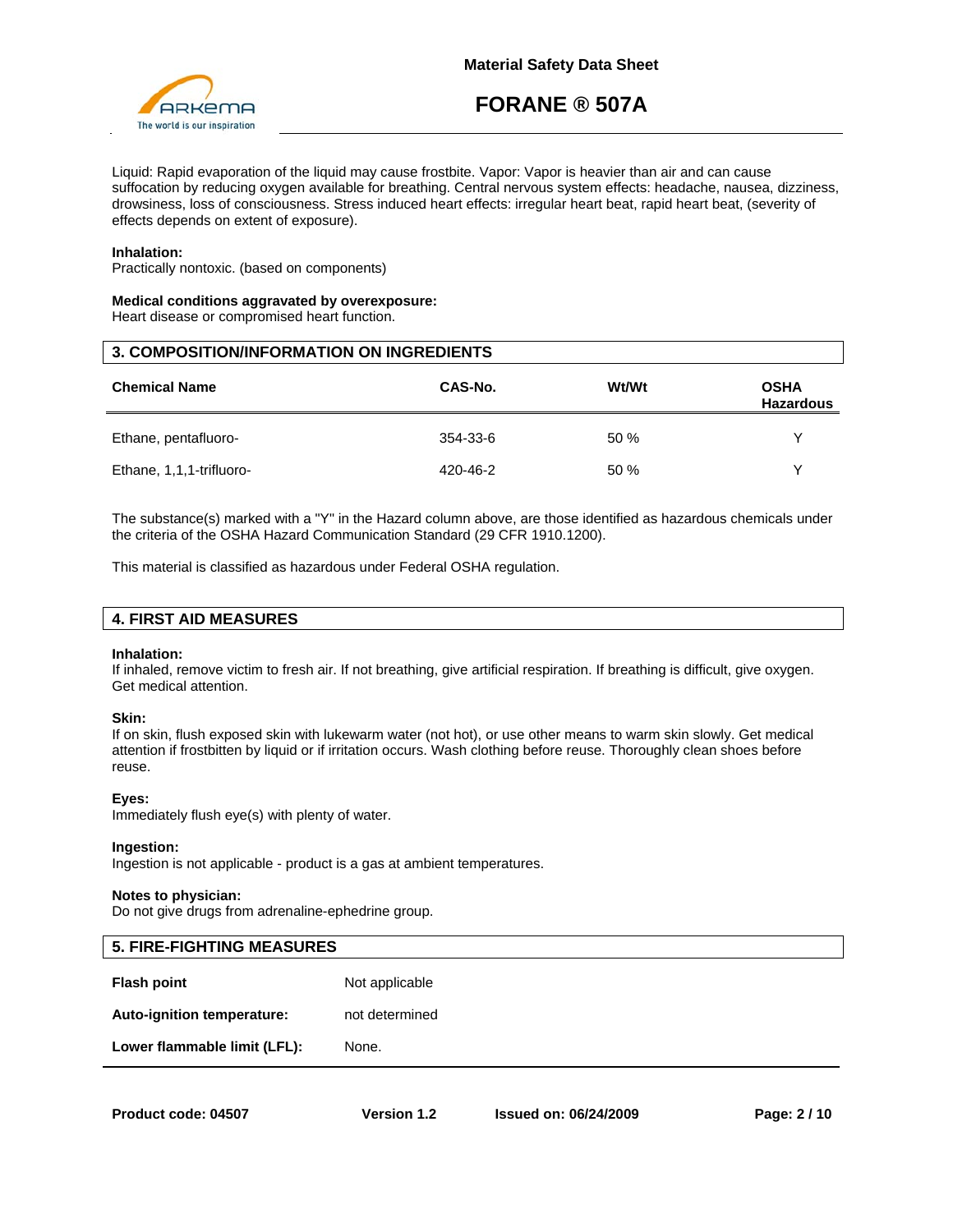

Liquid: Rapid evaporation of the liquid may cause frostbite. Vapor: Vapor is heavier than air and can cause suffocation by reducing oxygen available for breathing. Central nervous system effects: headache, nausea, dizziness, drowsiness, loss of consciousness. Stress induced heart effects: irregular heart beat, rapid heart beat, (severity of effects depends on extent of exposure).

### **Inhalation:**

Practically nontoxic. (based on components)

#### **Medical conditions aggravated by overexposure:**

Heart disease or compromised heart function.

| <b>3. COMPOSITION/INFORMATION ON INGREDIENTS</b> |          |       |                                 |  |
|--------------------------------------------------|----------|-------|---------------------------------|--|
| <b>Chemical Name</b>                             | CAS-No.  | Wt/Wt | <b>OSHA</b><br><b>Hazardous</b> |  |
| Ethane, pentafluoro-                             | 354-33-6 | 50%   | v                               |  |
| Ethane, 1,1,1-trifluoro-                         | 420-46-2 | 50%   | $\check{ }$                     |  |

The substance(s) marked with a "Y" in the Hazard column above, are those identified as hazardous chemicals under the criteria of the OSHA Hazard Communication Standard (29 CFR 1910.1200).

This material is classified as hazardous under Federal OSHA regulation.

| <b>4. FIRST AID MEASURES</b> |
|------------------------------|
|------------------------------|

#### **Inhalation:**

If inhaled, remove victim to fresh air. If not breathing, give artificial respiration. If breathing is difficult, give oxygen. Get medical attention.

#### **Skin:**

If on skin, flush exposed skin with lukewarm water (not hot), or use other means to warm skin slowly. Get medical attention if frostbitten by liquid or if irritation occurs. Wash clothing before reuse. Thoroughly clean shoes before reuse.

#### **Eyes:**

Immediately flush eye(s) with plenty of water.

#### **Ingestion:**

Ingestion is not applicable - product is a gas at ambient temperatures.

#### **Notes to physician:**

Do not give drugs from adrenaline-ephedrine group.

| <b>5. FIRE-FIGHTING MEASURES</b> |                |
|----------------------------------|----------------|
| <b>Flash point</b>               | Not applicable |
| Auto-ignition temperature:       | not determined |
| Lower flammable limit (LFL):     | None.          |
|                                  |                |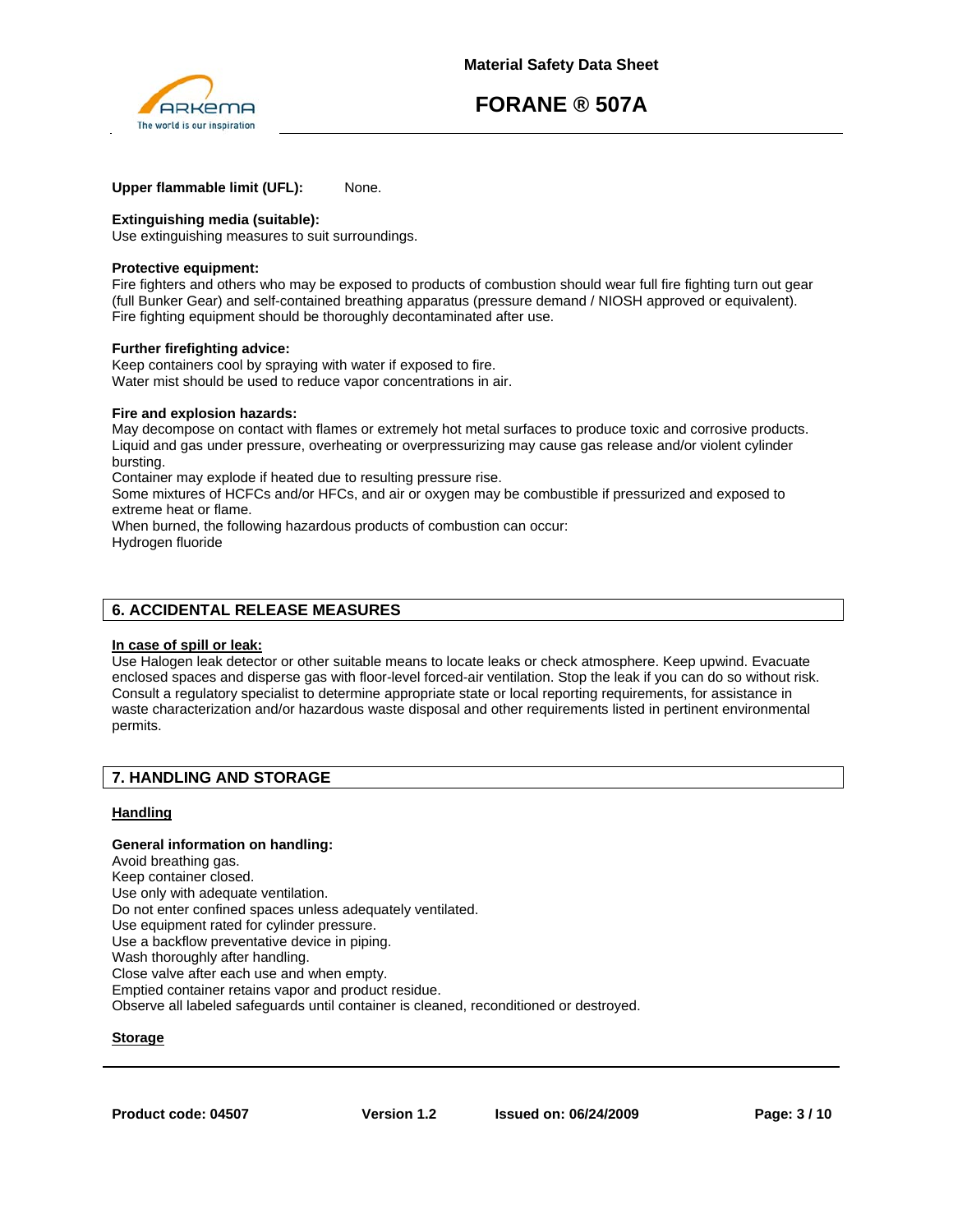

# **Upper flammable limit (UFL):** None.

# **Extinguishing media (suitable):**

Use extinguishing measures to suit surroundings.

### **Protective equipment:**

Fire fighters and others who may be exposed to products of combustion should wear full fire fighting turn out gear (full Bunker Gear) and self-contained breathing apparatus (pressure demand / NIOSH approved or equivalent). Fire fighting equipment should be thoroughly decontaminated after use.

### **Further firefighting advice:**

Keep containers cool by spraying with water if exposed to fire. Water mist should be used to reduce vapor concentrations in air.

### **Fire and explosion hazards:**

May decompose on contact with flames or extremely hot metal surfaces to produce toxic and corrosive products. Liquid and gas under pressure, overheating or overpressurizing may cause gas release and/or violent cylinder bursting.

Container may explode if heated due to resulting pressure rise.

Some mixtures of HCFCs and/or HFCs, and air or oxygen may be combustible if pressurized and exposed to extreme heat or flame.

When burned, the following hazardous products of combustion can occur: Hydrogen fluoride

# **6. ACCIDENTAL RELEASE MEASURES**

## **In case of spill or leak:**

Use Halogen leak detector or other suitable means to locate leaks or check atmosphere. Keep upwind. Evacuate enclosed spaces and disperse gas with floor-level forced-air ventilation. Stop the leak if you can do so without risk. Consult a regulatory specialist to determine appropriate state or local reporting requirements, for assistance in waste characterization and/or hazardous waste disposal and other requirements listed in pertinent environmental permits.

# **7. HANDLING AND STORAGE**

# **Handling**

# **General information on handling:**

Avoid breathing gas. Keep container closed. Use only with adequate ventilation. Do not enter confined spaces unless adequately ventilated. Use equipment rated for cylinder pressure. Use a backflow preventative device in piping. Wash thoroughly after handling. Close valve after each use and when empty. Emptied container retains vapor and product residue. Observe all labeled safeguards until container is cleaned, reconditioned or destroyed.

# **Storage**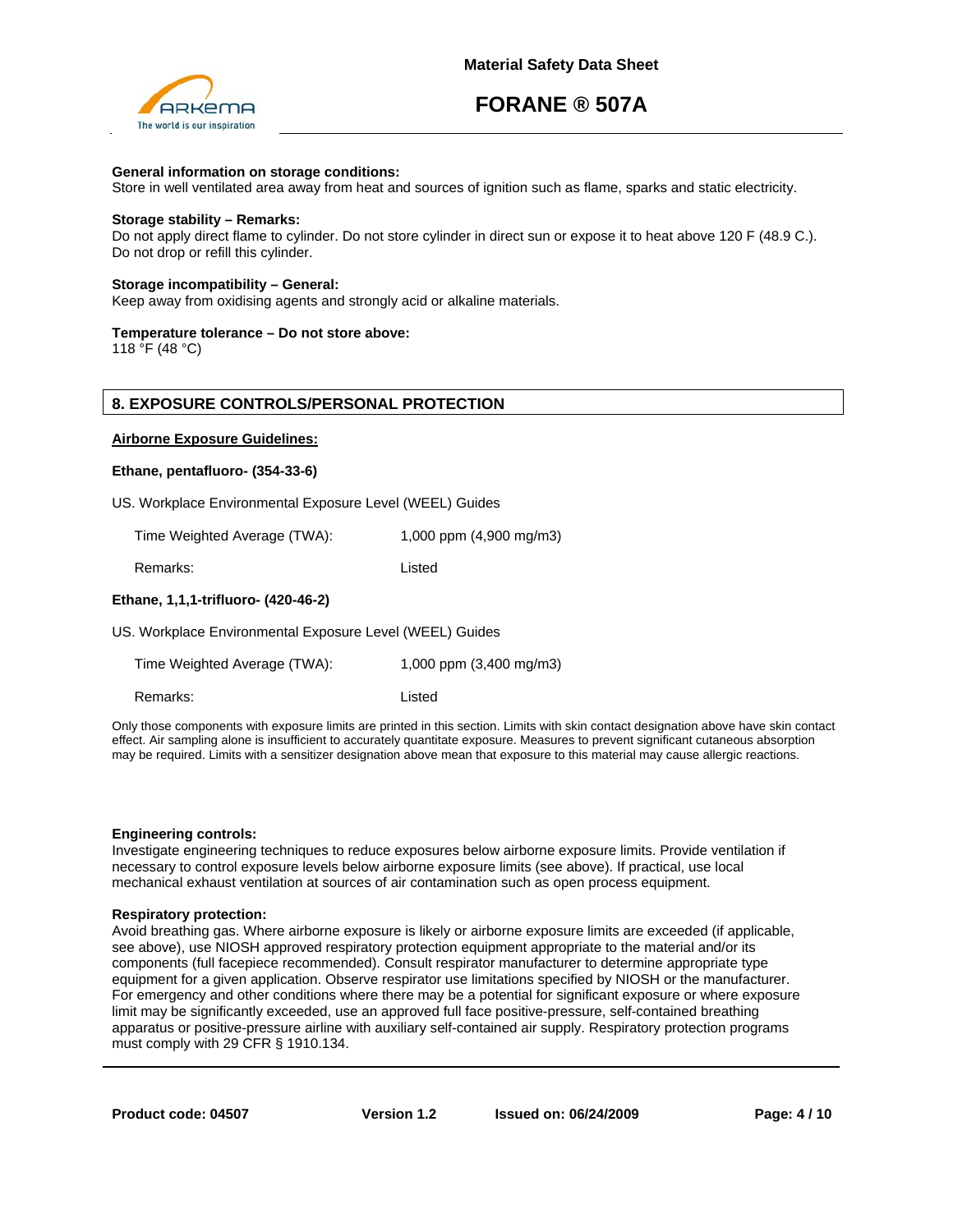

### **General information on storage conditions:**

Store in well ventilated area away from heat and sources of ignition such as flame, sparks and static electricity.

#### **Storage stability – Remarks:**

Do not apply direct flame to cylinder. Do not store cylinder in direct sun or expose it to heat above 120 F (48.9 C.). Do not drop or refill this cylinder.

# **Storage incompatibility – General:**

Keep away from oxidising agents and strongly acid or alkaline materials.

#### **Temperature tolerance – Do not store above:**

118 °F (48 °C)

# **8. EXPOSURE CONTROLS/PERSONAL PROTECTION**

#### **Airborne Exposure Guidelines:**

#### **Ethane, pentafluoro- (354-33-6)**

US. Workplace Environmental Exposure Level (WEEL) Guides

Time Weighted Average (TWA): 1,000 ppm (4,900 mg/m3)

Remarks: Listed

## **Ethane, 1,1,1-trifluoro- (420-46-2)**

US. Workplace Environmental Exposure Level (WEEL) Guides

Time Weighted Average (TWA): 1,000 ppm (3,400 mg/m3)

Remarks: Listed

Only those components with exposure limits are printed in this section. Limits with skin contact designation above have skin contact effect. Air sampling alone is insufficient to accurately quantitate exposure. Measures to prevent significant cutaneous absorption may be required. Limits with a sensitizer designation above mean that exposure to this material may cause allergic reactions.

#### **Engineering controls:**

Investigate engineering techniques to reduce exposures below airborne exposure limits. Provide ventilation if necessary to control exposure levels below airborne exposure limits (see above). If practical, use local mechanical exhaust ventilation at sources of air contamination such as open process equipment.

#### **Respiratory protection:**

Avoid breathing gas. Where airborne exposure is likely or airborne exposure limits are exceeded (if applicable, see above), use NIOSH approved respiratory protection equipment appropriate to the material and/or its components (full facepiece recommended). Consult respirator manufacturer to determine appropriate type equipment for a given application. Observe respirator use limitations specified by NIOSH or the manufacturer. For emergency and other conditions where there may be a potential for significant exposure or where exposure limit may be significantly exceeded, use an approved full face positive-pressure, self-contained breathing apparatus or positive-pressure airline with auxiliary self-contained air supply. Respiratory protection programs must comply with 29 CFR § 1910.134.

**Product code: 04507**

**Version 1.2 Issued on: 06/24/2009 Page: 4 / 10**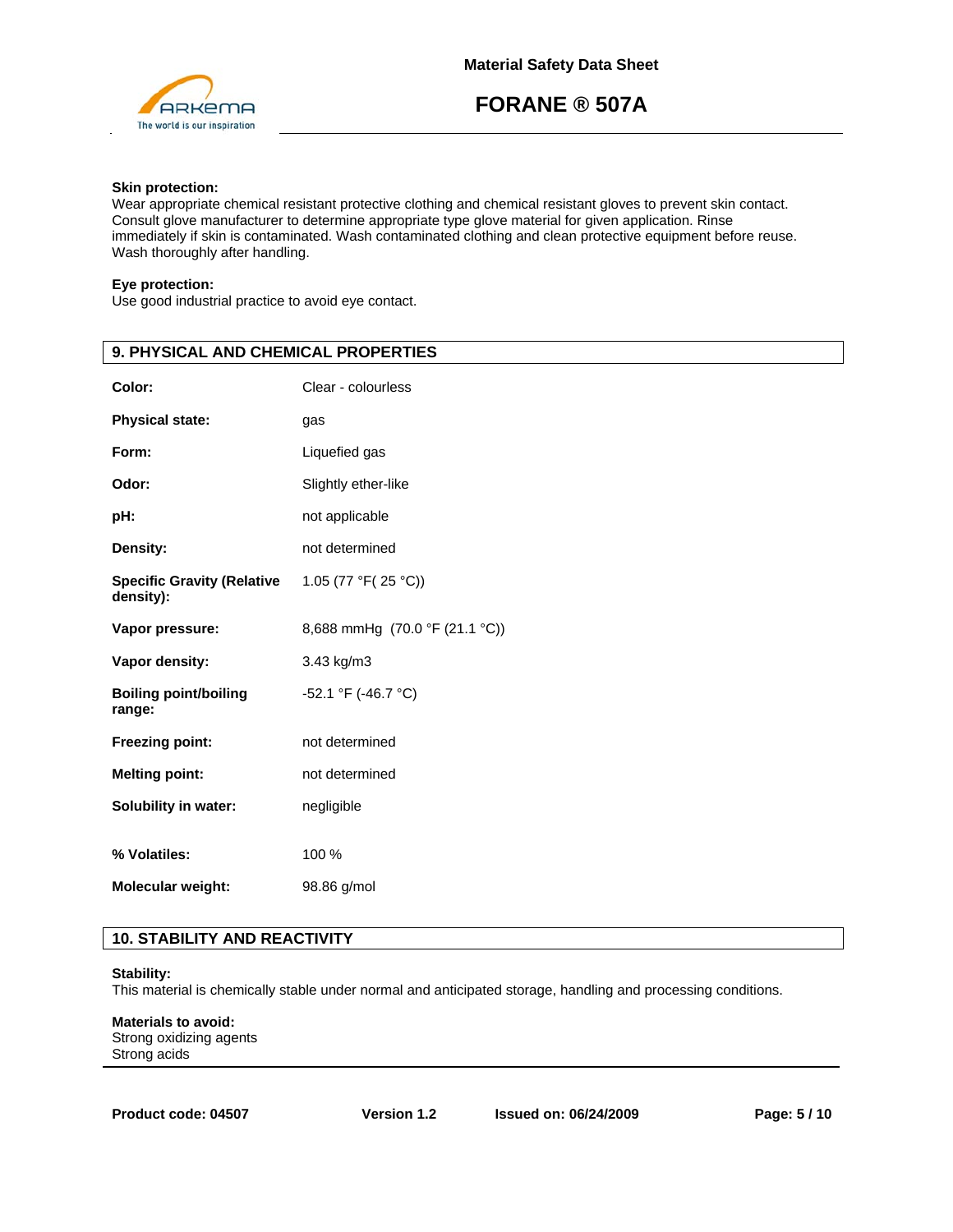

# **Skin protection:**

Wear appropriate chemical resistant protective clothing and chemical resistant gloves to prevent skin contact. Consult glove manufacturer to determine appropriate type glove material for given application. Rinse immediately if skin is contaminated. Wash contaminated clothing and clean protective equipment before reuse. Wash thoroughly after handling.

# **Eye protection:**

Use good industrial practice to avoid eye contact.

| Color:<br>Clear - colourless<br><b>Physical state:</b><br>gas<br>Form:<br>Liquefied gas<br>Odor:<br>Slightly ether-like<br>pH:<br>not applicable<br>Density:<br>not determined<br>1.05 (77 °F(25 °C))<br><b>Specific Gravity (Relative</b><br>density):<br>8,688 mmHg (70.0 °F (21.1 °C))<br>Vapor pressure:<br>3.43 kg/m3<br>Vapor density:<br>-52.1 °F (-46.7 °C)<br><b>Boiling point/boiling</b><br>range:<br>not determined<br>Freezing point:<br><b>Melting point:</b><br>not determined<br>Solubility in water:<br>negligible<br>% Volatiles:<br>100 %<br>Molecular weight:<br>98.86 g/mol | 9. PHYSICAL AND CHEMICAL PROPERTIES |  |  |
|--------------------------------------------------------------------------------------------------------------------------------------------------------------------------------------------------------------------------------------------------------------------------------------------------------------------------------------------------------------------------------------------------------------------------------------------------------------------------------------------------------------------------------------------------------------------------------------------------|-------------------------------------|--|--|
|                                                                                                                                                                                                                                                                                                                                                                                                                                                                                                                                                                                                  |                                     |  |  |
|                                                                                                                                                                                                                                                                                                                                                                                                                                                                                                                                                                                                  |                                     |  |  |
|                                                                                                                                                                                                                                                                                                                                                                                                                                                                                                                                                                                                  |                                     |  |  |
|                                                                                                                                                                                                                                                                                                                                                                                                                                                                                                                                                                                                  |                                     |  |  |
|                                                                                                                                                                                                                                                                                                                                                                                                                                                                                                                                                                                                  |                                     |  |  |
|                                                                                                                                                                                                                                                                                                                                                                                                                                                                                                                                                                                                  |                                     |  |  |
|                                                                                                                                                                                                                                                                                                                                                                                                                                                                                                                                                                                                  |                                     |  |  |
|                                                                                                                                                                                                                                                                                                                                                                                                                                                                                                                                                                                                  |                                     |  |  |
|                                                                                                                                                                                                                                                                                                                                                                                                                                                                                                                                                                                                  |                                     |  |  |
|                                                                                                                                                                                                                                                                                                                                                                                                                                                                                                                                                                                                  |                                     |  |  |
|                                                                                                                                                                                                                                                                                                                                                                                                                                                                                                                                                                                                  |                                     |  |  |
|                                                                                                                                                                                                                                                                                                                                                                                                                                                                                                                                                                                                  |                                     |  |  |
|                                                                                                                                                                                                                                                                                                                                                                                                                                                                                                                                                                                                  |                                     |  |  |
|                                                                                                                                                                                                                                                                                                                                                                                                                                                                                                                                                                                                  |                                     |  |  |
|                                                                                                                                                                                                                                                                                                                                                                                                                                                                                                                                                                                                  |                                     |  |  |

# **10. STABILITY AND REACTIVITY**

# **Stability:**

This material is chemically stable under normal and anticipated storage, handling and processing conditions.

**Materials to avoid:**  Strong oxidizing agents Strong acids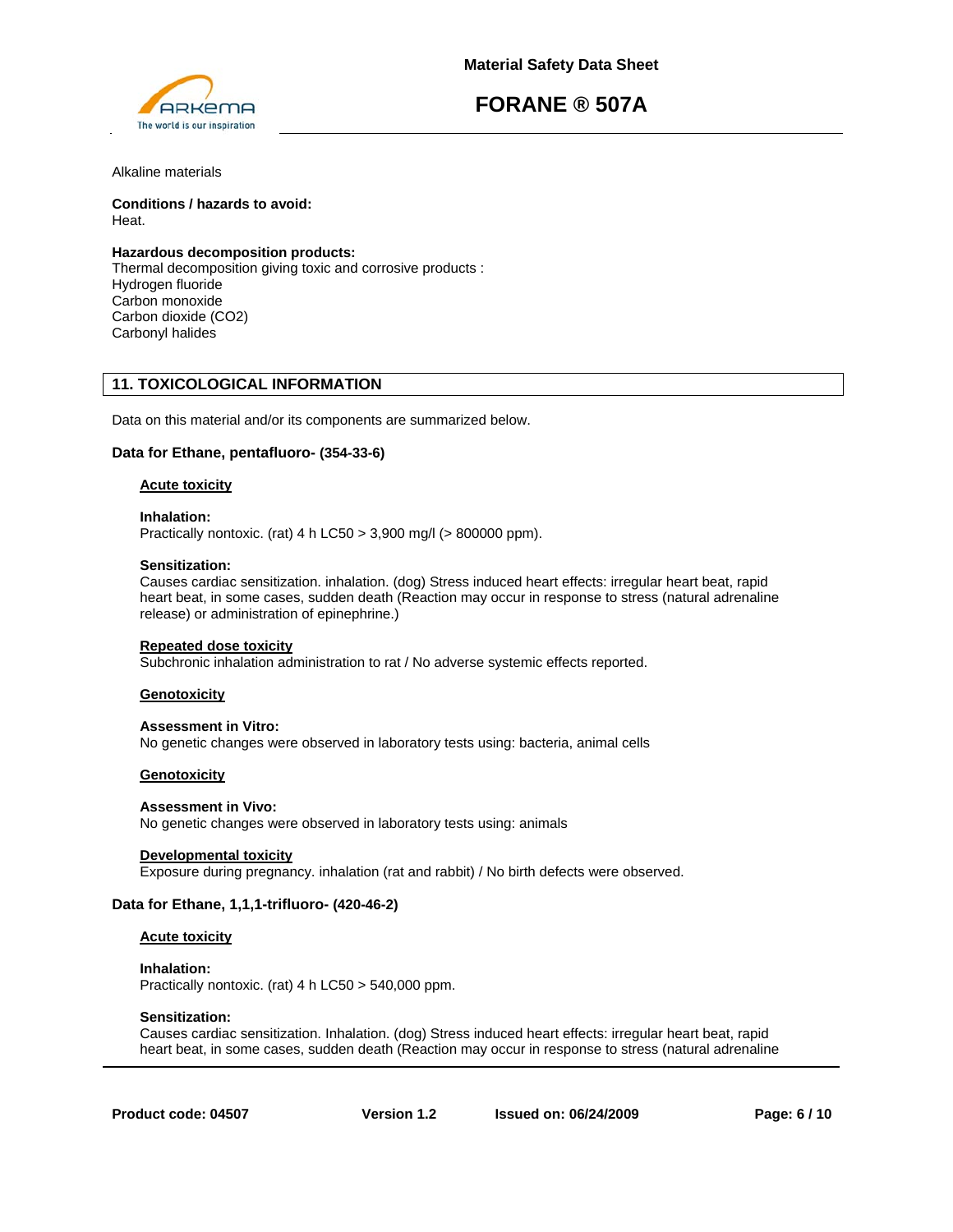

Alkaline materials

**Conditions / hazards to avoid:**  Heat.

# **Hazardous decomposition products:**

Thermal decomposition giving toxic and corrosive products : Hydrogen fluoride Carbon monoxide Carbon dioxide (CO2) Carbonyl halides

# **11. TOXICOLOGICAL INFORMATION**

Data on this material and/or its components are summarized below.

# **Data for Ethane, pentafluoro- (354-33-6)**

#### **Acute toxicity**

#### **Inhalation:**

Practically nontoxic. (rat) 4 h LC50 > 3,900 mg/l (> 800000 ppm).

#### **Sensitization:**

Causes cardiac sensitization. inhalation. (dog) Stress induced heart effects: irregular heart beat, rapid heart beat, in some cases, sudden death (Reaction may occur in response to stress (natural adrenaline release) or administration of epinephrine.)

#### **Repeated dose toxicity**

Subchronic inhalation administration to rat / No adverse systemic effects reported.

# **Genotoxicity**

#### **Assessment in Vitro:**

No genetic changes were observed in laboratory tests using: bacteria, animal cells

# **Genotoxicity**

#### **Assessment in Vivo:**

No genetic changes were observed in laboratory tests using: animals

# **Developmental toxicity**

Exposure during pregnancy. inhalation (rat and rabbit) / No birth defects were observed.

# **Data for Ethane, 1,1,1-trifluoro- (420-46-2)**

# **Acute toxicity**

**Inhalation:**  Practically nontoxic. (rat) 4 h LC50 > 540,000 ppm.

# **Sensitization:**

Causes cardiac sensitization. Inhalation. (dog) Stress induced heart effects: irregular heart beat, rapid heart beat, in some cases, sudden death (Reaction may occur in response to stress (natural adrenaline

**Product code: 04507**

**Version 1.2 Issued on: 06/24/2009 Page: 6 / 10**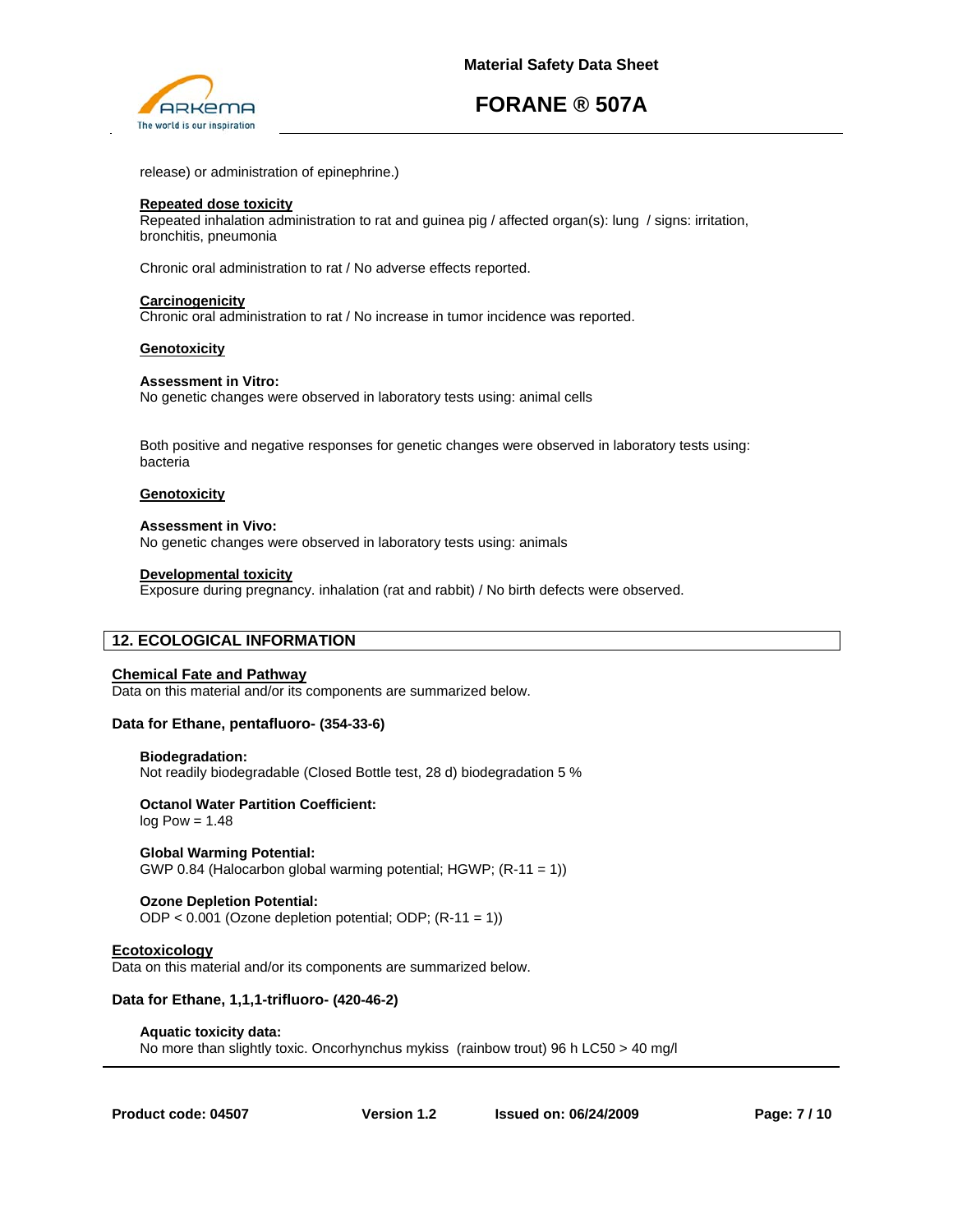

release) or administration of epinephrine.)

#### **Repeated dose toxicity**

Repeated inhalation administration to rat and guinea pig / affected organ(s): lung / signs: irritation, bronchitis, pneumonia

Chronic oral administration to rat / No adverse effects reported.

## **Carcinogenicity**

Chronic oral administration to rat / No increase in tumor incidence was reported.

### **Genotoxicity**

### **Assessment in Vitro:**

No genetic changes were observed in laboratory tests using: animal cells

Both positive and negative responses for genetic changes were observed in laboratory tests using: bacteria

## **Genotoxicity**

### **Assessment in Vivo:**

No genetic changes were observed in laboratory tests using: animals

### **Developmental toxicity**

Exposure during pregnancy. inhalation (rat and rabbit) / No birth defects were observed.

# **12. ECOLOGICAL INFORMATION**

# **Chemical Fate and Pathway**

Data on this material and/or its components are summarized below.

# **Data for Ethane, pentafluoro- (354-33-6)**

#### **Biodegradation:**

Not readily biodegradable (Closed Bottle test, 28 d) biodegradation 5 %

# **Octanol Water Partition Coefficient:**

 $log Pow = 1.48$ 

# **Global Warming Potential:**

GWP 0.84 (Halocarbon global warming potential; HGWP; (R-11 = 1))

# **Ozone Depletion Potential:**

ODP < 0.001 (Ozone depletion potential; ODP; (R-11 = 1))

# **Ecotoxicology**

Data on this material and/or its components are summarized below.

# **Data for Ethane, 1,1,1-trifluoro- (420-46-2)**

#### **Aquatic toxicity data:**

No more than slightly toxic. Oncorhynchus mykiss (rainbow trout) 96 h LC50 > 40 mg/l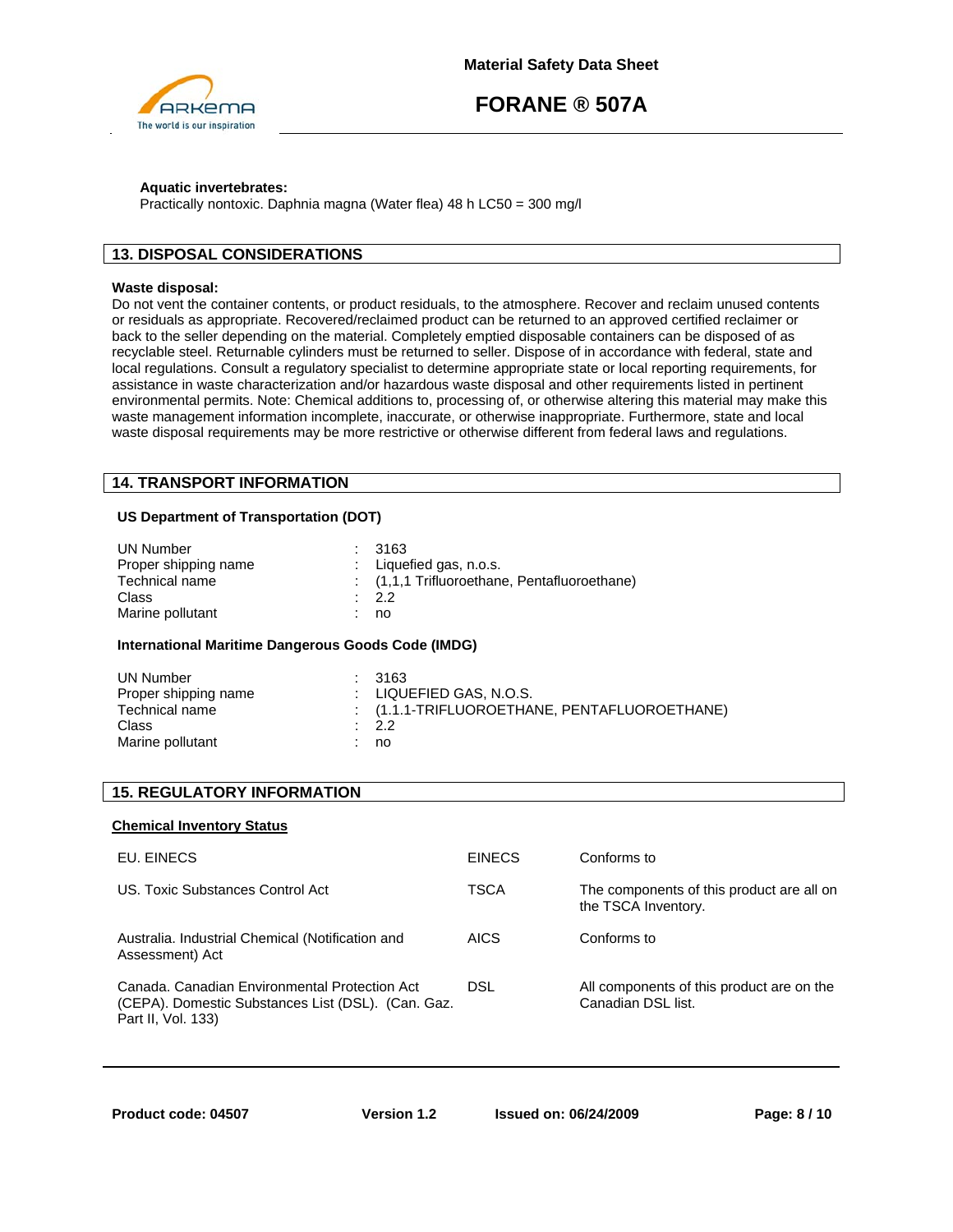

# **Aquatic invertebrates:**

Practically nontoxic. Daphnia magna (Water flea) 48 h LC50 = 300 mg/l

# **13. DISPOSAL CONSIDERATIONS**

## **Waste disposal:**

Do not vent the container contents, or product residuals, to the atmosphere. Recover and reclaim unused contents or residuals as appropriate. Recovered/reclaimed product can be returned to an approved certified reclaimer or back to the seller depending on the material. Completely emptied disposable containers can be disposed of as recyclable steel. Returnable cylinders must be returned to seller. Dispose of in accordance with federal, state and local regulations. Consult a regulatory specialist to determine appropriate state or local reporting requirements, for assistance in waste characterization and/or hazardous waste disposal and other requirements listed in pertinent environmental permits. Note: Chemical additions to, processing of, or otherwise altering this material may make this waste management information incomplete, inaccurate, or otherwise inappropriate. Furthermore, state and local waste disposal requirements may be more restrictive or otherwise different from federal laws and regulations.

# **14. TRANSPORT INFORMATION**

# **US Department of Transportation (DOT)**

| UN Number            | : 3163                                        |
|----------------------|-----------------------------------------------|
| Proper shipping name | : Liquefied gas, $n.o.s.$                     |
| Technical name       | $(1,1,1)$ Trifluoroethane, Pentafluoroethane) |
| Class                | $\cdot$ 2.2                                   |
| Marine pollutant     | no                                            |

# **International Maritime Dangerous Goods Code (IMDG)**

| UN Number            | : 3163                                       |
|----------------------|----------------------------------------------|
| Proper shipping name | $\pm$ LIQUEFIED GAS, N.O.S.                  |
| Technical name       | $(1.1.1-TRIFLUOROETHANE, PENTAFLUOROETHANE)$ |
| Class                | $\therefore$ 2.2                             |
| Marine pollutant     | no                                           |

# **15. REGULATORY INFORMATION**

# **Chemical Inventory Status**

| EU. EINECS                                                                                                                | <b>EINECS</b> | Conforms to                                                      |
|---------------------------------------------------------------------------------------------------------------------------|---------------|------------------------------------------------------------------|
| US. Toxic Substances Control Act                                                                                          | <b>TSCA</b>   | The components of this product are all on<br>the TSCA Inventory. |
| Australia. Industrial Chemical (Notification and<br>Assessment) Act                                                       | <b>AICS</b>   | Conforms to                                                      |
| Canada. Canadian Environmental Protection Act<br>(CEPA). Domestic Substances List (DSL). (Can. Gaz.<br>Part II, Vol. 133) | <b>DSL</b>    | All components of this product are on the<br>Canadian DSL list.  |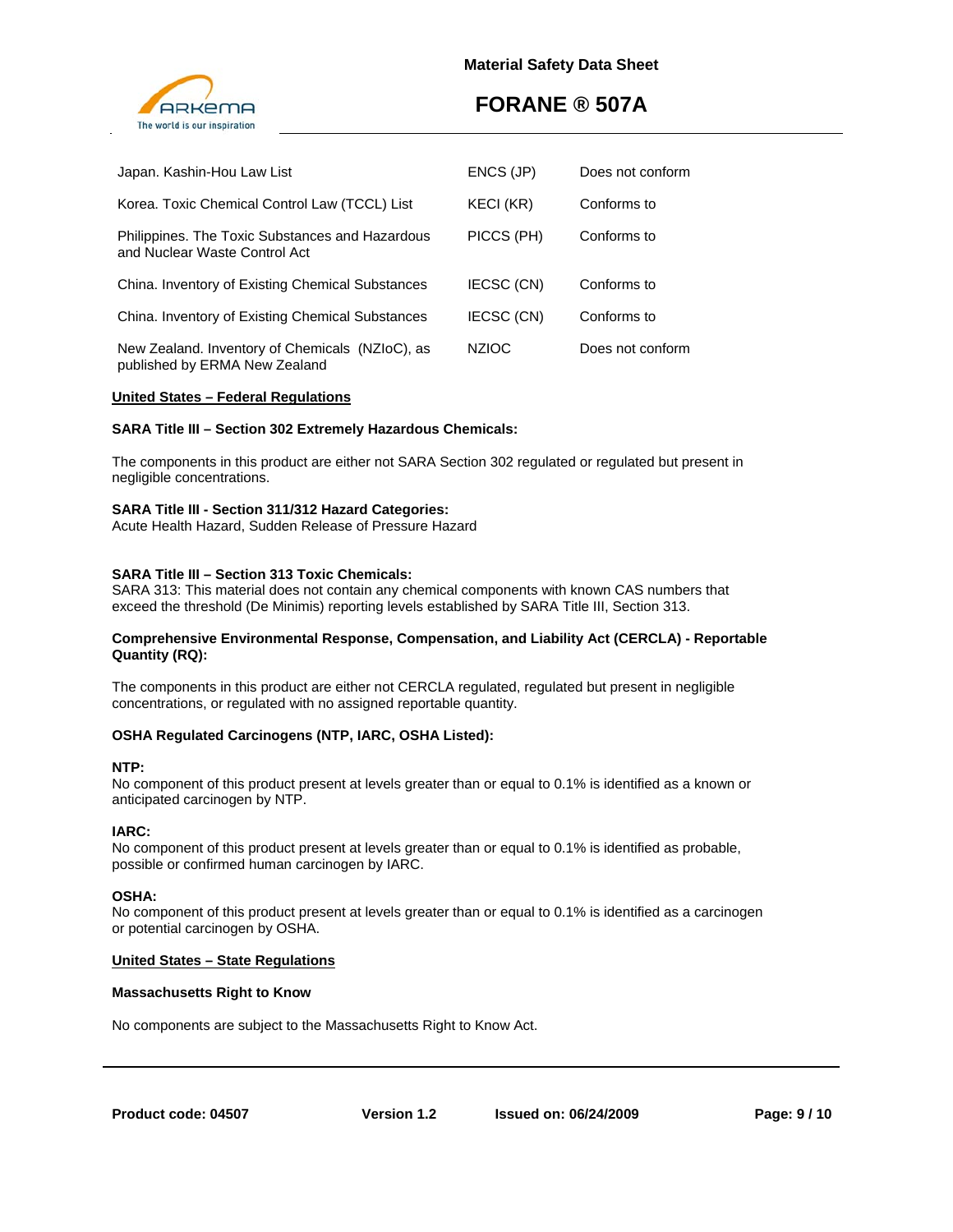

| Japan. Kashin-Hou Law List                                                       | ENCS (JP)        | Does not conform |
|----------------------------------------------------------------------------------|------------------|------------------|
| Korea. Toxic Chemical Control Law (TCCL) List                                    | <b>KECI (KR)</b> | Conforms to      |
| Philippines. The Toxic Substances and Hazardous<br>and Nuclear Waste Control Act | PICCS (PH)       | Conforms to      |
| China. Inventory of Existing Chemical Substances                                 | IECSC (CN)       | Conforms to      |
| China. Inventory of Existing Chemical Substances                                 | IECSC (CN)       | Conforms to      |
| New Zealand. Inventory of Chemicals (NZIoC), as<br>published by ERMA New Zealand | <b>NZIOC</b>     | Does not conform |

# **United States – Federal Regulations**

# **SARA Title III – Section 302 Extremely Hazardous Chemicals:**

The components in this product are either not SARA Section 302 regulated or regulated but present in negligible concentrations.

### **SARA Title III - Section 311/312 Hazard Categories:**

Acute Health Hazard, Sudden Release of Pressure Hazard

# **SARA Title III – Section 313 Toxic Chemicals:**

SARA 313: This material does not contain any chemical components with known CAS numbers that exceed the threshold (De Minimis) reporting levels established by SARA Title III, Section 313.

### **Comprehensive Environmental Response, Compensation, and Liability Act (CERCLA) - Reportable Quantity (RQ):**

The components in this product are either not CERCLA regulated, regulated but present in negligible concentrations, or regulated with no assigned reportable quantity.

# **OSHA Regulated Carcinogens (NTP, IARC, OSHA Listed):**

#### **NTP:**

No component of this product present at levels greater than or equal to 0.1% is identified as a known or anticipated carcinogen by NTP.

#### **IARC:**

No component of this product present at levels greater than or equal to 0.1% is identified as probable, possible or confirmed human carcinogen by IARC.

#### **OSHA:**

No component of this product present at levels greater than or equal to 0.1% is identified as a carcinogen or potential carcinogen by OSHA.

#### **United States – State Regulations**

#### **Massachusetts Right to Know**

No components are subject to the Massachusetts Right to Know Act.